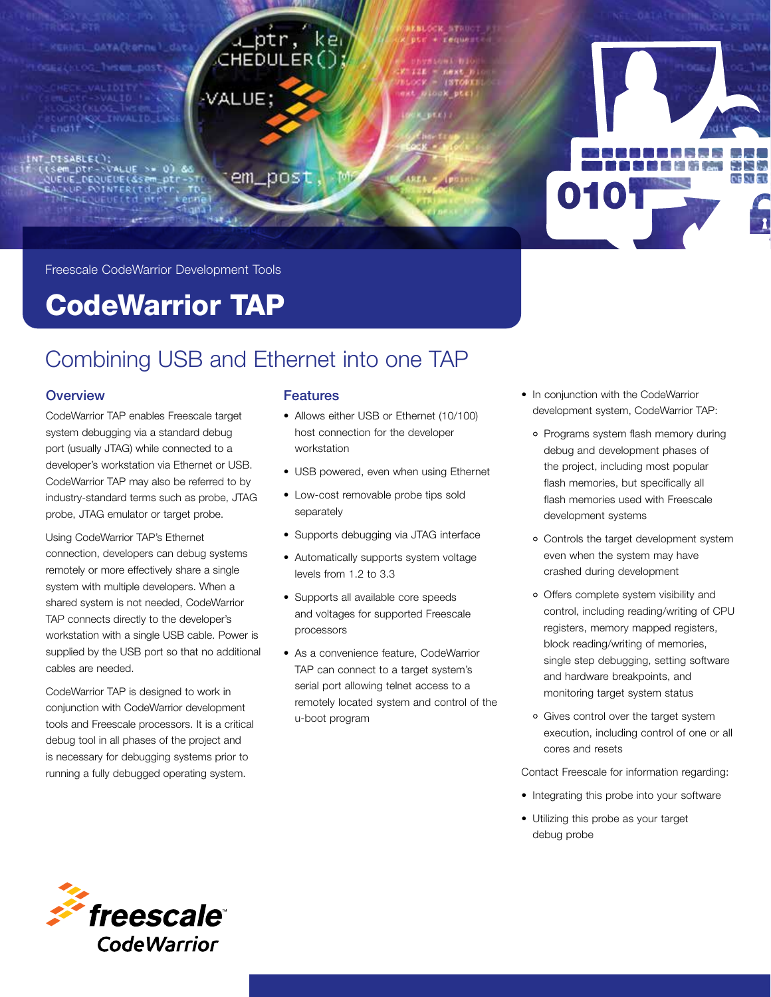REALTY OATAFRONT

DISABLE();

**LDEQUEUE (SS** 

**CONTRACTOR**  $\frac{1}{2}$   $\frac{1}{2}$   $\frac{1}{2}$   $\frac{1}{2}$   $\frac{1}{2}$   $\frac{1}{2}$   $\frac{1}{2}$   $\frac{1}{2}$ 0101

Freescale CodeWarrior Development Tools

# CodeWarrior TAP

## Combining USB and Ethernet into one TAP

CHEDUI

em\_post

VALUE:

#### **Overview**

CodeWarrior TAP enables Freescale target system debugging via a standard debug port (usually JTAG) while connected to a developer's workstation via Ethernet or USB. CodeWarrior TAP may also be referred to by industry-standard terms such as probe, JTAG probe, JTAG emulator or target probe.

Using CodeWarrior TAP's Ethernet connection, developers can debug systems remotely or more effectively share a single system with multiple developers. When a shared system is not needed, CodeWarrior TAP connects directly to the developer's workstation with a single USB cable. Power is supplied by the USB port so that no additional cables are needed.

CodeWarrior TAP is designed to work in conjunction with CodeWarrior development tools and Freescale processors. It is a critical debug tool in all phases of the project and is necessary for debugging systems prior to running a fully debugged operating system.

#### **Features**

- Allows either USB or Ethernet (10/100) host connection for the developer workstation
- USB powered, even when using Ethernet
- Low-cost removable probe tips sold separately
- Supports debugging via JTAG interface
- Automatically supports system voltage levels from 1.2 to 3.3
- Supports all available core speeds and voltages for supported Freescale processors
- As a convenience feature, CodeWarrior TAP can connect to a target system's serial port allowing telnet access to a remotely located system and control of the u-boot program
- In conjunction with the CodeWarrior development system, CodeWarrior TAP:
	- o Programs system flash memory during debug and development phases of the project, including most popular flash memories, but specifically all flash memories used with Freescale development systems
	- Controls the target development system even when the system may have crashed during development
	- Offers complete system visibility and control, including reading/writing of CPU registers, memory mapped registers, block reading/writing of memories, single step debugging, setting software and hardware breakpoints, and monitoring target system status
	- Gives control over the target system execution, including control of one or all cores and resets

Contact Freescale for information regarding:

- Integrating this probe into your software
- Utilizing this probe as your target debug probe